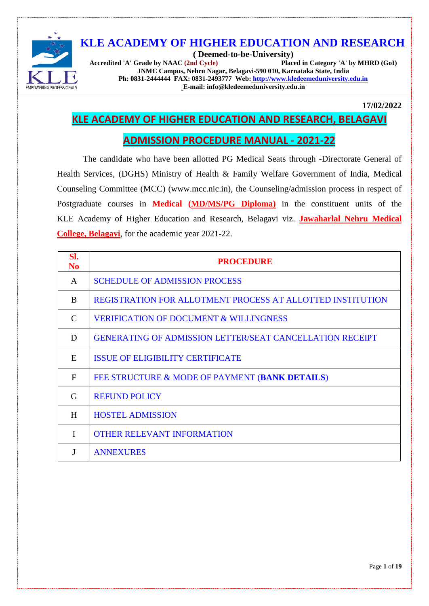

**( Deemed-to-be-University) Accredited 'A' Grade by NAAC (2nd Cycle) JNMC Campus, Nehru Nagar, Belagavi-590 010, Karnataka State, India Ph: 0831-2444444 FAX: 0831-2493777 Web: [http://www.kledeemeduniversity.edu.in](http://www.kledeemeduniversity.edu.in/) E-mail: info@kledeemeduniversity.edu.in**

**17/02/2022**

## **KLE ACADEMY OF HIGHER EDUCATION AND RESEARCH, BELAGAVI**

## **ADMISSION PROCEDURE MANUAL - 2021-22**

The candidate who have been allotted PG Medical Seats through -Directorate General of Health Services, (DGHS) Ministry of Health & Family Welfare Government of India, Medical Counseling Committee (MCC) [\(www.mcc.nic.in\)](http://www.mcc.nic.in/), the Counseling/admission process in respect of Postgraduate courses in **Medical (MD/MS/PG Diploma)** in the constituent units of the KLE Academy of Higher Education and Research, Belagavi viz. **Jawaharlal Nehru Medical College, Belagavi**, for the academic year 2021-22.

<span id="page-0-0"></span>

| SI.<br>No.   | <b>PROCEDURE</b>                                                |
|--------------|-----------------------------------------------------------------|
| A            | <b>SCHEDULE OF ADMISSION PROCESS</b>                            |
| B            | REGISTRATION FOR ALLOTMENT PROCESS AT ALLOTTED INSTITUTION      |
| C            | <b>VERIFICATION OF DOCUMENT &amp; WILLINGNESS</b>               |
| D            | <b>GENERATING OF ADMISSION LETTER/SEAT CANCELLATION RECEIPT</b> |
| E            | <b>ISSUE OF ELIGIBILITY CERTIFICATE</b>                         |
| $\mathbf{F}$ | FEE STRUCTURE & MODE OF PAYMENT (BANK DETAILS)                  |
| G            | <b>REFUND POLICY</b>                                            |
| H            | <b>HOSTEL ADMISSION</b>                                         |
| I            | <b>OTHER RELEVANT INFORMATION</b>                               |
|              | <b>ANNEXURES</b>                                                |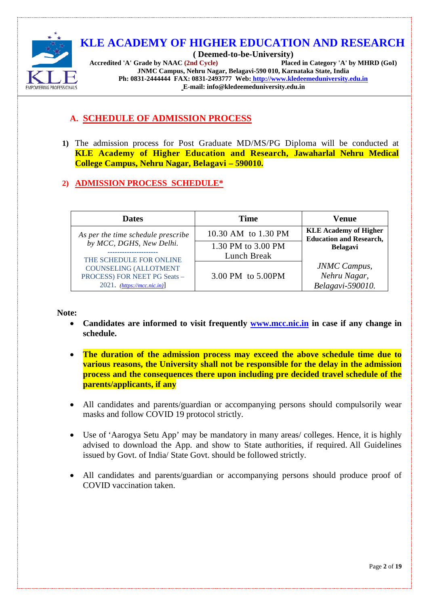

**( Deemed-to-be-University) Accredited 'A' Grade by NAAC (2nd Cycle) Placed in Category 'A' by MHRD (GoI) JNMC Campus, Nehru Nagar, Belagavi-590 010, Karnataka State, India Ph: 0831-2444444 FAX: 0831-2493777 Web: [http://www.kledeemeduniversity.edu.in](http://www.kledeemeduniversity.edu.in/) E-mail: info@kledeemeduniversity.edu.in**

## **A. SCHEDULE OF ADMISSION PROCESS**

**1)** The admission process for Post Graduate MD/MS/PG Diploma will be conducted at **KLE Academy of Higher Education and Research, Jawaharlal Nehru Medical College Campus, Nehru Nagar, Belagavi – 590010.**

## **2) ADMISSION PROCESS SCHEDULE\***

| <b>Dates</b>                       | <b>Time</b>         | Venue                                                          |
|------------------------------------|---------------------|----------------------------------------------------------------|
| As per the time schedule prescribe | 10.30 AM to 1.30 PM | <b>KLE Academy of Higher</b><br><b>Education and Research,</b> |
| by MCC, DGHS, New Delhi.           | 1.30 PM to 3.00 PM  | <b>Belagavi</b>                                                |
| THE SCHEDULE FOR ONLINE            | Lunch Break         |                                                                |
| <b>COUNSELING (ALLOTMENT</b>       |                     | <b>JNMC</b> Campus,                                            |
| PROCESS) FOR NEET PG Seats -       | 3.00 PM to 5.00PM   | Nehru Nagar,                                                   |
| 2021. $(https://mcc.nic.in)$       |                     | Belagavi-590010.                                               |

**Note:**

- **Candidates are informed to visit frequently [www.mcc.nic.in](http://www.mcc.nic.in/) in case if any change in schedule.**
- **The duration of the admission process may exceed the above schedule time due to various reasons, the University shall not be responsible for the delay in the admission process and the consequences there upon including pre decided travel schedule of the parents/applicants, if any**
- All candidates and parents/guardian or accompanying persons should compulsorily wear masks and follow COVID 19 protocol strictly.
- Use of 'Aarogya Setu App' may be mandatory in many areas/ colleges. Hence, it is highly advised to download the App. and show to State authorities, if required. All Guidelines issued by Govt. of India/ State Govt. should be followed strictly.
- All candidates and parents/guardian or accompanying persons should produce proof of COVID vaccination taken.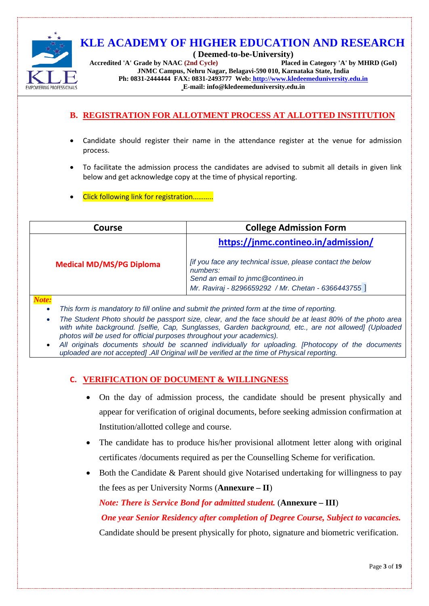

**( Deemed-to-be-University) Accredited 'A' Grade by NAAC (2nd Cycle) Placed in Category 'A' by MHRD (GoI) JNMC Campus, Nehru Nagar, Belagavi-590 010, Karnataka State, India Ph: 0831-2444444 FAX: 0831-2493777 Web: [http://www.kledeemeduniversity.edu.in](http://www.kledeemeduniversity.edu.in/) E-mail: info@kledeemeduniversity.edu.in**

## <span id="page-2-0"></span>**B. REGISTRATION FOR ALLOTMENT PROCESS AT ALLOTTED INSTITUTION**

- Candidate should register their name in the attendance register at the venue for admission process.
- To facilitate the admission process the candidates are advised to submit all details in given link below and get acknowledge copy at the time of physical reporting.
- Click following link for registration………..

| <b>Course</b>                   | <b>College Admission Form</b>                                                                                                                                              |
|---------------------------------|----------------------------------------------------------------------------------------------------------------------------------------------------------------------------|
|                                 | https://jnmc.contineo.in/admission/                                                                                                                                        |
| <b>Medical MD/MS/PG Diploma</b> | <i>Iff you face any technical issue, please contact the below</i><br>numbers:<br>Send an email to jnmc@contineo.in<br>Mr. Raviraj - 8296659292 / Mr. Chetan - 6366443755 ] |
| N <sub>ofa</sub>                |                                                                                                                                                                            |

#### *Note:*

- *This form is mandatory to fill online and submit the printed form at the time of reporting.*
- *The Student Photo should be passport size, clear, and the face should be at least 80% of the photo area with white background. [selfie, Cap, Sunglasses, Garden background, etc., are not allowed] (Uploaded photos will be used for official purposes throughout your academics).*
- <span id="page-2-1"></span>• *All originals documents should be scanned individually for uploading. [Photocopy of the documents uploaded are not accepted] .All Original will be verified at the time of Physical reporting.*

#### **C. VERIFICATION OF DOCUMENT & WILLINGNESS**

- On the day of admission process, the candidate should be present physically and appear for verification of original documents, before seeking admission confirmation at Institution/allotted college and course.
- The candidate has to produce his/her provisional allotment letter along with original certificates /documents required as per the Counselling Scheme for verification.
- Both the Candidate & Parent should give Notarised undertaking for willingness to pay the fees as per University Norms (**Annexure – II**)

*Note: There is Service Bond for admitted student.* (**Annexure – III**)

*One year Senior Residency after completion of Degree Course, Subject to vacancies.*

Candidate should be present physically for photo, signature and biometric verification.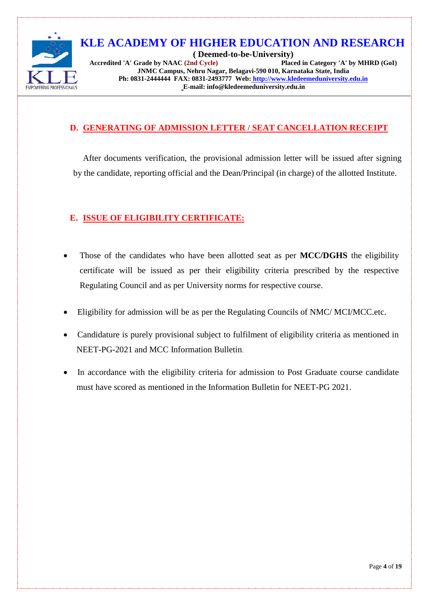

**( Deemed-to-be-University) Accredited 'A' Grade by NAAC (2nd Cycle) Placed in Category 'A' by MHRD (GoI) JNMC Campus, Nehru Nagar, Belagavi-590 010, Karnataka State, India Ph: 0831-2444444 FAX: 0831-2493777 Web: [http://www.kledeemeduniversity.edu.in](http://www.kledeemeduniversity.edu.in/) E-mail: info@kledeemeduniversity.edu.in**

### **D. GENERATING OF ADMISSION LETTER / SEAT CANCELLATION RECEIPT**

After documents verification, the provisional admission letter will be issued after signing by the candidate, reporting official and the Dean/Principal (in charge) of the allotted Institute.

## <span id="page-3-0"></span>**E. ISSUE OF ELIGIBILITY CERTIFICATE:**

- Those of the candidates who have been allotted seat as per **MCC/DGHS** the eligibility certificate will be issued as per their eligibility criteria prescribed by the respective Regulating Council and as per University norms for respective course.
- Eligibility for admission will be as per the Regulating Councils of NMC/ MCI/MCC.etc.
- Candidature is purely provisional subject to fulfilment of eligibility criteria as mentioned in NEET-PG-2021 and MCC Information Bulletin.
- In accordance with the eligibility criteria for admission to Post Graduate course candidate must have scored as mentioned in the Information Bulletin for NEET-PG 2021.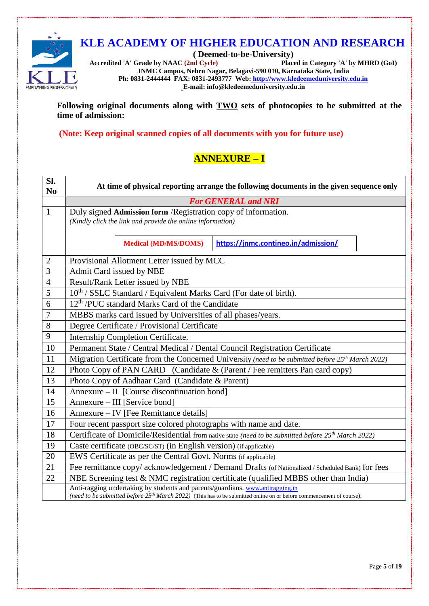

**( Deemed-to-be-University)** Accredited 'A' Grade by NAAC<sup>(2nd Cycle)</sup> **JNMC Campus, Nehru Nagar, Belagavi-590 010, Karnataka State, India Ph: 0831-2444444 FAX: 0831-2493777 Web: [http://www.kledeemeduniversity.edu.in](http://www.kledeemeduniversity.edu.in/) E-mail: info@kledeemeduniversity.edu.in**

**Following original documents along with TWO sets of photocopies to be submitted at the time of admission:** 

**(Note: Keep original scanned copies of all documents with you for future use)**

## **ANNEXURE – I**

| Sl.<br>N <sub>0</sub> | At time of physical reporting arrange the following documents in the given sequence only                                                                                                                 |  |  |
|-----------------------|----------------------------------------------------------------------------------------------------------------------------------------------------------------------------------------------------------|--|--|
|                       | <b>For GENERAL and NRI</b>                                                                                                                                                                               |  |  |
| $\mathbf{1}$          | Duly signed Admission form /Registration copy of information.                                                                                                                                            |  |  |
|                       | (Kindly click the link and provide the online information)                                                                                                                                               |  |  |
|                       |                                                                                                                                                                                                          |  |  |
|                       | <b>Medical (MD/MS/DOMS)</b><br>https://jnmc.contineo.in/admission/                                                                                                                                       |  |  |
| $\mathbf{2}$          | Provisional Allotment Letter issued by MCC                                                                                                                                                               |  |  |
| 3                     | Admit Card issued by NBE                                                                                                                                                                                 |  |  |
| $\overline{4}$        | Result/Rank Letter issued by NBE                                                                                                                                                                         |  |  |
| 5                     | 10 <sup>th</sup> / SSLC Standard / Equivalent Marks Card (For date of birth).                                                                                                                            |  |  |
| 6                     | 12 <sup>th</sup> /PUC standard Marks Card of the Candidate                                                                                                                                               |  |  |
| 7                     | MBBS marks card issued by Universities of all phases/years.                                                                                                                                              |  |  |
| $8\,$                 | Degree Certificate / Provisional Certificate                                                                                                                                                             |  |  |
| 9                     | Internship Completion Certificate.                                                                                                                                                                       |  |  |
| 10                    | Permanent State / Central Medical / Dental Council Registration Certificate                                                                                                                              |  |  |
| 11                    | Migration Certificate from the Concerned University (need to be submitted before 25 <sup>th</sup> March 2022)                                                                                            |  |  |
| 12                    | Photo Copy of PAN CARD (Candidate & (Parent / Fee remitters Pan card copy)                                                                                                                               |  |  |
| 13                    | Photo Copy of Aadhaar Card (Candidate & Parent)                                                                                                                                                          |  |  |
| 14                    | Annexure - II [Course discontinuation bond]                                                                                                                                                              |  |  |
| 15                    | Annexure – III [Service bond]                                                                                                                                                                            |  |  |
| 16                    | Annexure – IV [Fee Remittance details]                                                                                                                                                                   |  |  |
| 17                    | Four recent passport size colored photographs with name and date.                                                                                                                                        |  |  |
| 18                    | Certificate of Domicile/Residential from native state (need to be submitted before 25 <sup>th</sup> March 2022)                                                                                          |  |  |
| 19                    | Caste certificate (OBC/SC/ST) (in English version) (if applicable)                                                                                                                                       |  |  |
| 20                    | EWS Certificate as per the Central Govt. Norms (if applicable)                                                                                                                                           |  |  |
| 21                    | Fee remittance copy/ acknowledgement / Demand Drafts (of Nationalized / Scheduled Bank) for fees                                                                                                         |  |  |
| 22                    | NBE Screening test $& NMC$ registration certificate (qualified MBBS other than India)                                                                                                                    |  |  |
|                       | Anti-ragging undertaking by students and parents/guardians. www.antiragging.in<br>(need to be submitted before $25th$ March 2022) (This has to be submitted online on or before commencement of course). |  |  |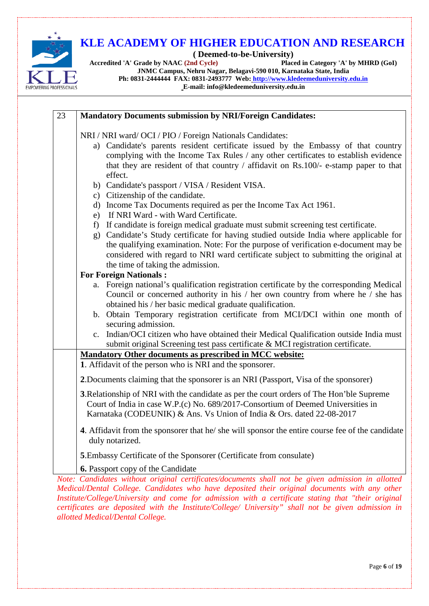

**( Deemed-to-be-University)** Accredited 'A' Grade by NAAC<sup>(2nd Cycle)</sup> **JNMC Campus, Nehru Nagar, Belagavi-590 010, Karnataka State, India**

**Ph: 0831-2444444 FAX: 0831-2493777 Web: [http://www.kledeemeduniversity.edu.in](http://www.kledeemeduniversity.edu.in/)**

**E-mail: info@kledeemeduniversity.edu.in**

| 23 | <b>Mandatory Documents submission by NRI/Foreign Candidates:</b>                                                                                                                                                                                                                                                                                 |
|----|--------------------------------------------------------------------------------------------------------------------------------------------------------------------------------------------------------------------------------------------------------------------------------------------------------------------------------------------------|
|    | NRI / NRI ward/ OCI / PIO / Foreign Nationals Candidates:<br>a) Candidate's parents resident certificate issued by the Embassy of that country<br>complying with the Income Tax Rules / any other certificates to establish evidence<br>that they are resident of that country / affidavit on Rs.100/- e-stamp paper to that<br>effect.          |
|    | b) Candidate's passport / VISA / Resident VISA.<br>c) Citizenship of the candidate.<br>d) Income Tax Documents required as per the Income Tax Act 1961.<br>e) If NRI Ward - with Ward Certificate.<br>If candidate is foreign medical graduate must submit screening test certificate.<br>f)                                                     |
|    | Candidate's Study certificate for having studied outside India where applicable for<br>g)<br>the qualifying examination. Note: For the purpose of verification e-document may be<br>considered with regard to NRI ward certificate subject to submitting the original at<br>the time of taking the admission.<br><b>For Foreign Nationals:</b>   |
|    | a. Foreign national's qualification registration certificate by the corresponding Medical<br>Council or concerned authority in his / her own country from where he / she has<br>obtained his / her basic medical graduate qualification.<br>b. Obtain Temporary registration certificate from MCI/DCI within one month of<br>securing admission. |
|    | c. Indian/OCI citizen who have obtained their Medical Qualification outside India must<br>submit original Screening test pass certificate & MCI registration certificate.                                                                                                                                                                        |
|    | Mandatory Other documents as prescribed in MCC website:                                                                                                                                                                                                                                                                                          |
|    | 1. Affidavit of the person who is NRI and the sponsorer.<br>2. Documents claiming that the sponsorer is an NRI (Passport, Visa of the sponsorer)                                                                                                                                                                                                 |
|    | 3. Relationship of NRI with the candidate as per the court orders of The Hon'ble Supreme<br>Court of India in case W.P.(c) No. 689/2017-Consortium of Deemed Universities in<br>Karnataka (CODEUNIK) & Ans. Vs Union of India & Ors. dated 22-08-2017                                                                                            |
|    | 4. Affidavit from the sponsorer that he/ she will sponsor the entire course fee of the candidate<br>duly notarized.                                                                                                                                                                                                                              |
|    | 5. Embassy Certificate of the Sponsorer (Certificate from consulate)                                                                                                                                                                                                                                                                             |
|    | <b>6.</b> Passport copy of the Candidate                                                                                                                                                                                                                                                                                                         |
|    | Note: Candidates without original certificates/documents shall not be given admission in allotted<br>Medical/Dental College. Candidates who have deposited their original documents with any other                                                                                                                                               |

<span id="page-5-0"></span>*Medical/Dental College. Candidates who have deposited their original documents with any other Institute/College/University and come for admission with a certificate stating that "their original certificates are deposited with the Institute/College/ University" shall not be given admission in allotted Medical/Dental College.*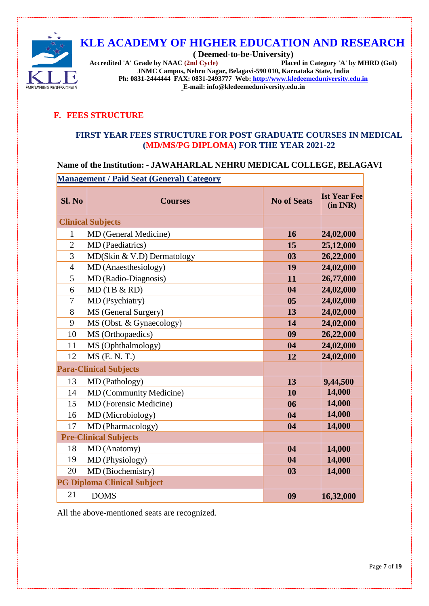

**( Deemed-to-be-University) Accredited 'A' Grade by NAAC (2nd Cycle) JNMC Campus, Nehru Nagar, Belagavi-590 010, Karnataka State, India Ph: 0831-2444444 FAX: 0831-2493777 Web: [http://www.kledeemeduniversity.edu.in](http://www.kledeemeduniversity.edu.in/) E-mail: info@kledeemeduniversity.edu.in**

## **F. FEES STRUCTURE**

#### **FIRST YEAR FEES STRUCTURE FOR POST GRADUATE COURSES IN MEDICAL (MD/MS/PG DIPLOMA) FOR THE YEAR 2021-22**

## **Name of the Institution: - JAWAHARLAL NEHRU MEDICAL COLLEGE, BELAGAVI**

**Management / Paid Seat (General) Category**

| Sl. No                        | <b>Courses</b>                     | <b>No of Seats</b> | <b>Ist Year Fee</b><br>(in INR) |
|-------------------------------|------------------------------------|--------------------|---------------------------------|
|                               | <b>Clinical Subjects</b>           |                    |                                 |
| 1                             | MD (General Medicine)              | 16                 | 24,02,000                       |
| $\overline{2}$                | MD (Paediatrics)                   | 15                 | 25,12,000                       |
| $\overline{3}$                | $MD(Skin & V.D)$ Dermatology       | 0 <sub>3</sub>     | 26,22,000                       |
| $\overline{4}$                | MD (Anaesthesiology)               | 19                 | 24,02,000                       |
| 5                             | MD (Radio-Diagnosis)               | 11                 | 26,77,000                       |
| 6                             | MD(TB & RD)                        | 04                 | 24,02,000                       |
| 7                             | MD (Psychiatry)                    | 0 <sub>5</sub>     | 24,02,000                       |
| 8                             | MS (General Surgery)               | 13                 | 24,02,000                       |
| 9                             | MS (Obst. & Gynaecology)           | 14                 | 24,02,000                       |
| 10                            | MS (Orthopaedics)                  | 09                 | 26,22,000                       |
| 11                            | MS (Ophthalmology)                 | 04                 | 24,02,000                       |
| 12                            | $MS$ (E. N. T.)                    | 12                 | 24,02,000                       |
| <b>Para-Clinical Subjects</b> |                                    |                    |                                 |
| 13                            | MD (Pathology)                     | 13                 | 9,44,500                        |
| 14                            | MD (Community Medicine)            | 10                 | 14,000                          |
| 15                            | MD (Forensic Medicine)             | 06                 | 14,000                          |
| 16                            | MD (Microbiology)                  | 04                 | 14,000                          |
| 17                            | MD (Pharmacology)                  | 04                 | 14,000                          |
| <b>Pre-Clinical Subjects</b>  |                                    |                    |                                 |
| 18                            | MD (Anatomy)                       | 04                 | 14,000                          |
| 19                            | MD (Physiology)                    | 04                 | 14,000                          |
| 20                            | MD (Biochemistry)                  | 03                 | 14,000                          |
|                               | <b>PG Diploma Clinical Subject</b> |                    |                                 |
| 21                            | <b>DOMS</b>                        | 09                 | 16,32,000                       |

All the above-mentioned seats are recognized.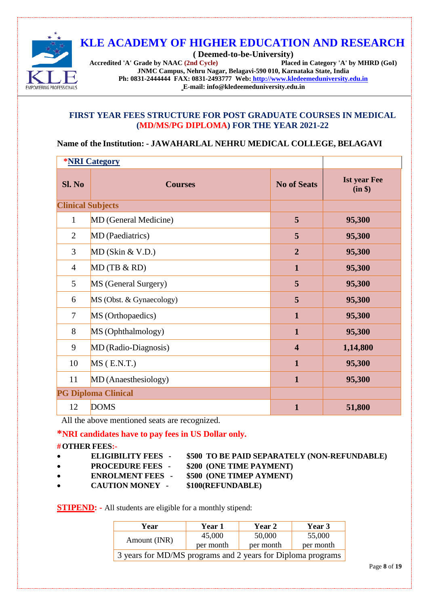

**( Deemed-to-be-University) Accredited 'A' Grade by NAAC (2nd Cycle) JNMC Campus, Nehru Nagar, Belagavi-590 010, Karnataka State, India Ph: 0831-2444444 FAX: 0831-2493777 Web: [http://www.kledeemeduniversity.edu.in](http://www.kledeemeduniversity.edu.in/) E-mail: info@kledeemeduniversity.edu.in**

#### **FIRST YEAR FEES STRUCTURE FOR POST GRADUATE COURSES IN MEDICAL (MD/MS/PG DIPLOMA) FOR THE YEAR 2021-22**

#### **Name of the Institution: - JAWAHARLAL NEHRU MEDICAL COLLEGE, BELAGAVI**

| <b>*NRI Category</b>     |                            |                         |                                |
|--------------------------|----------------------------|-------------------------|--------------------------------|
| Sl. No                   | <b>Courses</b>             | <b>No of Seats</b>      | <b>Ist year Fee</b><br>(in \$) |
| <b>Clinical Subjects</b> |                            |                         |                                |
| $\mathbf{1}$             | MD (General Medicine)      | 5                       | 95,300                         |
| $\overline{2}$           | MD (Paediatrics)           | 5                       | 95,300                         |
| 3                        | $MD$ (Skin & V.D.)         | $\overline{2}$          | 95,300                         |
| $\overline{4}$           | MD(TB & RD)                | $\mathbf{1}$            | 95,300                         |
| 5                        | MS (General Surgery)       | 5                       | 95,300                         |
| 6                        | MS (Obst. & Gynaecology)   | 5                       | 95,300                         |
| $\tau$                   | MS (Orthopaedics)          | $\mathbf{1}$            | 95,300                         |
| 8                        | MS (Ophthalmology)         | $\mathbf{1}$            | 95,300                         |
| 9                        | MD (Radio-Diagnosis)       | $\overline{\mathbf{4}}$ | 1,14,800                       |
| 10                       | $MS$ (E.N.T.)              | $\mathbf{1}$            | 95,300                         |
| 11                       | MD (Anaesthesiology)       | $\mathbf{1}$            | 95,300                         |
|                          | <b>PG Diploma Clinical</b> |                         |                                |
| 12                       | <b>DOMS</b>                | $\mathbf{1}$            | 51,800                         |

All the above mentioned seats are recognized.

#### **\*NRI candidates have to pay fees in US Dollar only.**

#### **#OTHER FEES:-**

- 
- 
- **ELIGIBILITY FEES - \$500 TO BE PAID SEPARATELY (NON-REFUNDABLE)**
- 
- **PROCEDURE FEES - \$200 (ONE TIME PAYMENT)**
- 
- **ENROLMENT FEES - \$500 (ONE TIMEP AYMENT)** • **CAUTION MONEY - \$100(REFUNDABLE)**

**STIPEND:** - All students are eligible for a monthly stipend:

| Year                                                        | Year 1    | Year 2    | Year 3    |
|-------------------------------------------------------------|-----------|-----------|-----------|
|                                                             | 45,000    | 50,000    | 55,000    |
| Amount (INR)                                                | per month | per month | per month |
| 3 years for MD/MS programs and 2 years for Diploma programs |           |           |           |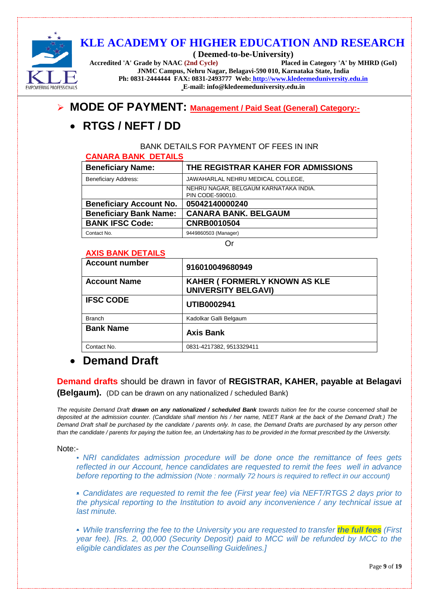

**( Deemed-to-be-University) Accredited 'A' Grade by NAAC (2nd Cycle) Placed in Category 'A' by MHRD (GoI) JNMC Campus, Nehru Nagar, Belagavi-590 010, Karnataka State, India Ph: 0831-2444444 FAX: 0831-2493777 Web: [http://www.kledeemeduniversity.edu.in](http://www.kledeemeduniversity.edu.in/) E-mail: info@kledeemeduniversity.edu.in**

## **MODE OF PAYMENT: Management / Paid Seat (General) Category:-**

# • **RTGS / NEFT / DD**

BANK DETAILS FOR PAYMENT OF FEES IN INR

#### **CANARA BANK DETAILS**

| <u>VAINAINA PAININ PETAILU</u> |                                                           |
|--------------------------------|-----------------------------------------------------------|
| <b>Beneficiary Name:</b>       | THE REGISTRAR KAHER FOR ADMISSIONS                        |
| <b>Beneficiary Address:</b>    | JAWAHARLAL NEHRU MEDICAL COLLEGE,                         |
|                                | NEHRU NAGAR, BELGAUM KARNATAKA INDIA.<br>PIN CODE-590010. |
| <b>Beneficiary Account No.</b> | 05042140000240                                            |
| <b>Beneficiary Bank Name:</b>  | <b>CANARA BANK, BELGAUM</b>                               |
| <b>BANK IFSC Code:</b>         | <b>CNRB0010504</b>                                        |
| Contact No.                    | 9449860503 (Manager)                                      |

Or

### **AXIS BANK DETAILS**

| <b>AAIS DAIVA DE LAILS</b> |                                                                   |
|----------------------------|-------------------------------------------------------------------|
| <b>Account number</b>      | 916010049680949                                                   |
| <b>Account Name</b>        | <b>KAHER (FORMERLY KNOWN AS KLE</b><br><b>UNIVERSITY BELGAVI)</b> |
| <b>IFSC CODE</b>           | UTIB0002941                                                       |
| <b>Branch</b>              | Kadolkar Galli Belgaum                                            |
| <b>Bank Name</b>           | <b>Axis Bank</b>                                                  |
| Contact No.                | 0831-4217382, 9513329411                                          |
|                            |                                                                   |

# • **Demand Draft**

**Demand drafts** should be drawn in favor of **REGISTRAR, KAHER, payable at Belagavi** 

**(Belgaum).** (DD can be drawn on any nationalized / scheduled Bank)

*The requisite Demand Draft drawn on any nationalized / scheduled Bank towards tuition fee for the course concerned shall be deposited at the admission counter. (Candidate shall mention his / her name, NEET Rank at the back of the Demand Draft.) The Demand Draft shall be purchased by the candidate / parents only. In case, the Demand Drafts are purchased by any person other than the candidate / parents for paying the tuition fee, an Undertaking has to be provided in the format prescribed by the University.*

Note:-

• *NRI candidates admission procedure will be done once the remittance of fees gets reflected in our Account, hence candidates are requested to remit the fees well in advance before reporting to the admission (Note : normally 72 hours is required to reflect in our account)*

• *Candidates are requested to remit the fee (First year fee) via NEFT/RTGS 2 days prior to the physical reporting to the Institution to avoid any inconvenience / any technical issue at last minute.*

• *While transferring the fee to the University you are requested to transfer the full fees (First year fee). [Rs. 2, 00,000 (Security Deposit) paid to MCC will be refunded by MCC to the eligible candidates as per the Counselling Guidelines.]*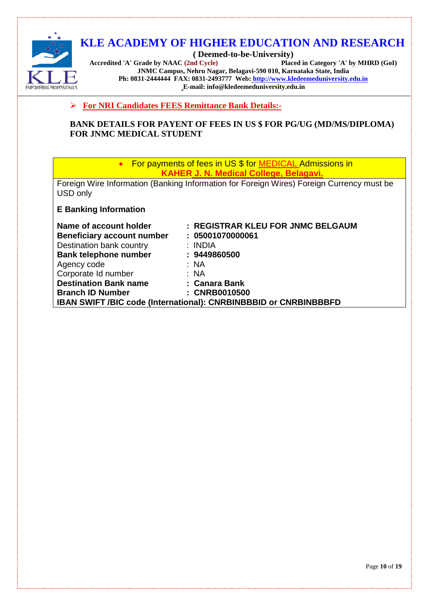

**( Deemed-to-be-University) Accredited 'A' Grade by NAAC (2nd Cycle) JNMC Campus, Nehru Nagar, Belagavi-590 010, Karnataka State, India Ph: 0831-2444444 FAX: 0831-2493777 Web: [http://www.kledeemeduniversity.edu.in](http://www.kledeemeduniversity.edu.in/) E-mail: info@kledeemeduniversity.edu.in**

**For NRI Candidates FEES Remittance Bank Details:-**

**BANK DETAILS FOR PAYENT OF FEES IN US \$ FOR PG/UG (MD/MS/DIPLOMA) FOR JNMC MEDICAL STUDENT**

> • For payments of fees in US \$ for MEDICAL Admissions in **KAHER J. N. Medical College, Belagavi.**

Foreign Wire Information (Banking Information for Foreign Wires) Foreign Currency must be USD only

**E Banking Information**

| Name of account holder            | : REGISTRAR KLEU FOR JNMC BELGAUM                                |
|-----------------------------------|------------------------------------------------------------------|
| <b>Beneficiary account number</b> | : 05001070000061                                                 |
| Destination bank country          | : INDIA                                                          |
| <b>Bank telephone number</b>      | : 9449860500                                                     |
| Agency code                       | : NA                                                             |
| Corporate Id number               | : NA                                                             |
| <b>Destination Bank name</b>      | : Canara Bank                                                    |
| <b>Branch ID Number</b>           | : CNRB0010500                                                    |
|                                   | IBAN SWIFT /BIC code (International): CNRBINBBBID or CNRBINBBBFD |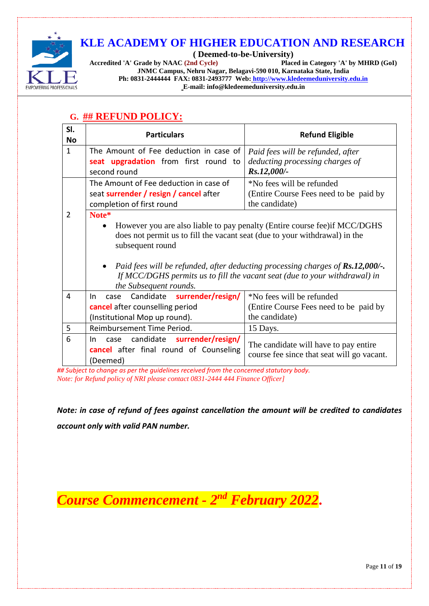

**( Deemed-to-be-University) Accredited 'A' Grade by NAAC (2nd Cycle) JNMC Campus, Nehru Nagar, Belagavi-590 010, Karnataka State, India Ph: 0831-2444444 FAX: 0831-2493777 Web: [http://www.kledeemeduniversity.edu.in](http://www.kledeemeduniversity.edu.in/)**

**E-mail: info@kledeemeduniversity.edu.in**

| SI.<br><b>No</b> | <b>Particulars</b>                                                                                                                                                                                                                                                                                                                                                     | <b>Refund Eligible</b>                                                               |
|------------------|------------------------------------------------------------------------------------------------------------------------------------------------------------------------------------------------------------------------------------------------------------------------------------------------------------------------------------------------------------------------|--------------------------------------------------------------------------------------|
| $\mathbf{1}$     | The Amount of Fee deduction in case of                                                                                                                                                                                                                                                                                                                                 | Paid fees will be refunded, after                                                    |
|                  | seat upgradation from first round to                                                                                                                                                                                                                                                                                                                                   | deducting processing charges of                                                      |
|                  | second round                                                                                                                                                                                                                                                                                                                                                           | Rs.12,000/-                                                                          |
|                  | The Amount of Fee deduction in case of                                                                                                                                                                                                                                                                                                                                 | *No fees will be refunded                                                            |
|                  | seat surrender / resign / cancel after                                                                                                                                                                                                                                                                                                                                 | (Entire Course Fees need to be paid by                                               |
|                  | completion of first round                                                                                                                                                                                                                                                                                                                                              | the candidate)                                                                       |
| 2                | Note*                                                                                                                                                                                                                                                                                                                                                                  |                                                                                      |
|                  | However you are also liable to pay penalty (Entire course fee) if MCC/DGHS<br>does not permit us to fill the vacant seat (due to your withdrawal) in the<br>subsequent round<br>Paid fees will be refunded, after deducting processing charges of Rs.12,000/-.<br>If MCC/DGHS permits us to fill the vacant seat (due to your withdrawal) in<br>the Subsequent rounds. |                                                                                      |
| 4                | Candidate surrender/resign/<br>case<br>In.                                                                                                                                                                                                                                                                                                                             | *No fees will be refunded                                                            |
|                  | cancel after counselling period                                                                                                                                                                                                                                                                                                                                        | (Entire Course Fees need to be paid by                                               |
|                  | (Institutional Mop up round).                                                                                                                                                                                                                                                                                                                                          | the candidate)                                                                       |
| 5                | Reimbursement Time Period.                                                                                                                                                                                                                                                                                                                                             | 15 Days.                                                                             |
| 6                | candidate surrender/resign/<br>In.<br>case<br><b>cancel</b> after final round of Counseling<br>(Deemed)                                                                                                                                                                                                                                                                | The candidate will have to pay entire.<br>course fee since that seat will go vacant. |

## <span id="page-10-0"></span>**G. ## REFUND POLICY:**

*## Subject to change as per the guidelines received from the concerned statutory body. Note: for Refund policy of NRI please contact 0831-2444 444 Finance Officer]*

*Note: in case of refund of fees against cancellation the amount will be credited to candidates account only with valid PAN number.*

*Course Commencement - 2nd February 2022***.**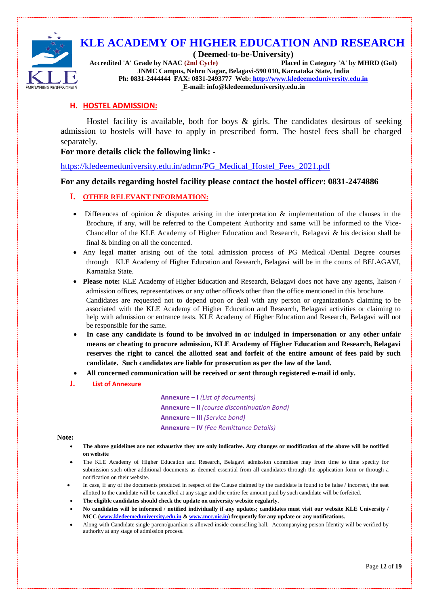

**( Deemed-to-be-University) Accredited 'A' Grade by NAAC (2nd Cycle) Placed in Category 'A' by MHRD (GoI) JNMC Campus, Nehru Nagar, Belagavi-590 010, Karnataka State, India**

**Ph: 0831-2444444 FAX: 0831-2493777 Web: [http://www.kledeemeduniversity.edu.in](http://www.kledeemeduniversity.edu.in/)**

**E-mail: info@kledeemeduniversity.edu.in**

#### **H. HOSTEL ADMISSION:**

Hostel facility is available, both for boys & girls. The candidates desirous of seeking admission to hostels will have to apply in prescribed form. The hostel fees shall be charged separately.

#### **For more details click the following link: -**

[https://kledeemeduniversity.edu.in/admn/PG\\_Medical\\_Hostel\\_Fees\\_2021.pdf](https://kledeemeduniversity.edu.in/admn/PG_Medical_Hostel_Fees_2021.pdf)

#### **For any details regarding hostel facility please contact the hostel officer: 0831-2474886**

#### **I. OTHER RELEVANT INFORMATION:**

- Differences of opinion & disputes arising in the interpretation & implementation of the clauses in the Brochure, if any, will be referred to the Competent Authority and same will be informed to the Vice-Chancellor of the KLE Academy of Higher Education and Research, Belagavi & his decision shall be final & binding on all the concerned.
- Any legal matter arising out of the total admission process of PG Medical /Dental Degree courses through KLE Academy of Higher Education and Research, Belagavi will be in the courts of BELAGAVI, Karnataka State.
- **Please note:** KLE Academy of Higher Education and Research, Belagavi does not have any agents, liaison / admission offices, representatives or any other office/s other than the office mentioned in this brochure. Candidates are requested not to depend upon or deal with any person or organization/s claiming to be associated with the KLE Academy of Higher Education and Research, Belagavi activities or claiming to help with admission or entrance tests. KLE Academy of Higher Education and Research, Belagavi will not be responsible for the same.
- **In case any candidate is found to be involved in or indulged in impersonation or any other unfair means or cheating to procure admission, KLE Academy of Higher Education and Research, Belagavi**  reserves the right to cancel the allotted seat and forfeit of the entire amount of fees paid by such **candidate. Such candidates are liable for prosecution as per the law of the land.**
- **All concerned communication will be received or sent through registered e-mail id only.**
- **J. List of Annexure**

**Annexure – I** *(List of documents)* **Annexure – II** *(course discontinuation Bond)* **Annexure – III** *(Service bond)* **Annexure – IV** *(Fee Remittance Details)*

#### **Note:**

- **The above guidelines are not exhaustive they are only indicative. Any changes or modification of the above will be notified on website**
- The KLE Academy of Higher Education and Research, Belagavi admission committee may from time to time specify for submission such other additional documents as deemed essential from all candidates through the application form or through a notification on their website.
- In case, if any of the documents produced in respect of the Clause claimed by the candidate is found to be false / incorrect, the seat allotted to the candidate will be cancelled at any stage and the entire fee amount paid by such candidate will be forfeited.
- **The eligible candidates should check the update on university website regularly.**
- **No candidates will be informed / notified individually if any updates; candidates must visit our website KLE University / MCC [\(www.kledeemeduniversity.edu.in](http://www.kledeemeduniversity.edu.in/) [& www.mcc.nic.in\)](http://www.mcc.nic.in/) frequently for any update or any notifications.**
- Along with Candidate single parent/guardian is allowed inside counselling hall. Accompanying person Identity will be verified by authority at any stage of admission process.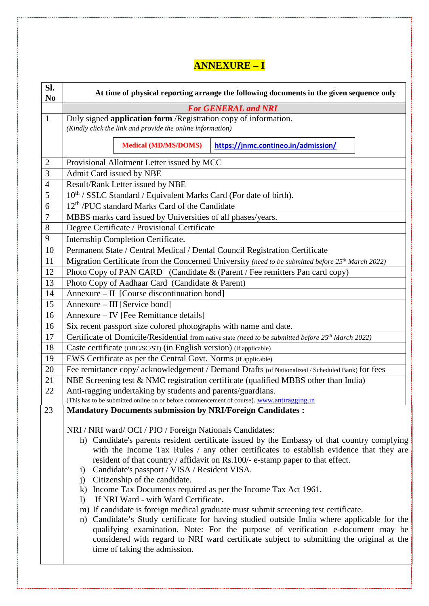# **ANNEXURE – I**

| SI.<br>N <sub>0</sub> | At time of physical reporting arrange the following documents in the given sequence only                                                                                                                                                                                                                                                                                                                                                                                                                                                                                                                                                                                                                                                                                                                                                                                                                                                                                                               |  |  |
|-----------------------|--------------------------------------------------------------------------------------------------------------------------------------------------------------------------------------------------------------------------------------------------------------------------------------------------------------------------------------------------------------------------------------------------------------------------------------------------------------------------------------------------------------------------------------------------------------------------------------------------------------------------------------------------------------------------------------------------------------------------------------------------------------------------------------------------------------------------------------------------------------------------------------------------------------------------------------------------------------------------------------------------------|--|--|
|                       | <b>For GENERAL and NRI</b>                                                                                                                                                                                                                                                                                                                                                                                                                                                                                                                                                                                                                                                                                                                                                                                                                                                                                                                                                                             |  |  |
| $\mathbf{1}$          | Duly signed application form / Registration copy of information.<br>(Kindly click the link and provide the online information)                                                                                                                                                                                                                                                                                                                                                                                                                                                                                                                                                                                                                                                                                                                                                                                                                                                                         |  |  |
|                       | <b>Medical (MD/MS/DOMS)</b><br>https://jnmc.contineo.in/admission/                                                                                                                                                                                                                                                                                                                                                                                                                                                                                                                                                                                                                                                                                                                                                                                                                                                                                                                                     |  |  |
| $\overline{c}$        | Provisional Allotment Letter issued by MCC                                                                                                                                                                                                                                                                                                                                                                                                                                                                                                                                                                                                                                                                                                                                                                                                                                                                                                                                                             |  |  |
| 3                     | Admit Card issued by NBE                                                                                                                                                                                                                                                                                                                                                                                                                                                                                                                                                                                                                                                                                                                                                                                                                                                                                                                                                                               |  |  |
| $\overline{4}$        | Result/Rank Letter issued by NBE                                                                                                                                                                                                                                                                                                                                                                                                                                                                                                                                                                                                                                                                                                                                                                                                                                                                                                                                                                       |  |  |
| 5                     | 10 <sup>th</sup> / SSLC Standard / Equivalent Marks Card (For date of birth).                                                                                                                                                                                                                                                                                                                                                                                                                                                                                                                                                                                                                                                                                                                                                                                                                                                                                                                          |  |  |
| 6                     | 12 <sup>th</sup> /PUC standard Marks Card of the Candidate                                                                                                                                                                                                                                                                                                                                                                                                                                                                                                                                                                                                                                                                                                                                                                                                                                                                                                                                             |  |  |
| 7                     | MBBS marks card issued by Universities of all phases/years.                                                                                                                                                                                                                                                                                                                                                                                                                                                                                                                                                                                                                                                                                                                                                                                                                                                                                                                                            |  |  |
| 8                     | Degree Certificate / Provisional Certificate                                                                                                                                                                                                                                                                                                                                                                                                                                                                                                                                                                                                                                                                                                                                                                                                                                                                                                                                                           |  |  |
| 9                     | <b>Internship Completion Certificate.</b>                                                                                                                                                                                                                                                                                                                                                                                                                                                                                                                                                                                                                                                                                                                                                                                                                                                                                                                                                              |  |  |
| 10                    | Permanent State / Central Medical / Dental Council Registration Certificate                                                                                                                                                                                                                                                                                                                                                                                                                                                                                                                                                                                                                                                                                                                                                                                                                                                                                                                            |  |  |
| 11                    | Migration Certificate from the Concerned University (need to be submitted before 25 <sup>th</sup> March 2022)                                                                                                                                                                                                                                                                                                                                                                                                                                                                                                                                                                                                                                                                                                                                                                                                                                                                                          |  |  |
| 12                    | Photo Copy of PAN CARD (Candidate & (Parent / Fee remitters Pan card copy)                                                                                                                                                                                                                                                                                                                                                                                                                                                                                                                                                                                                                                                                                                                                                                                                                                                                                                                             |  |  |
| 13                    | Photo Copy of Aadhaar Card (Candidate & Parent)                                                                                                                                                                                                                                                                                                                                                                                                                                                                                                                                                                                                                                                                                                                                                                                                                                                                                                                                                        |  |  |
| 14                    | Annexure - II [Course discontinuation bond]                                                                                                                                                                                                                                                                                                                                                                                                                                                                                                                                                                                                                                                                                                                                                                                                                                                                                                                                                            |  |  |
| 15                    | Annexure – III [Service bond]                                                                                                                                                                                                                                                                                                                                                                                                                                                                                                                                                                                                                                                                                                                                                                                                                                                                                                                                                                          |  |  |
| 16                    | Annexure - IV [Fee Remittance details]                                                                                                                                                                                                                                                                                                                                                                                                                                                                                                                                                                                                                                                                                                                                                                                                                                                                                                                                                                 |  |  |
| 16                    | Six recent passport size colored photographs with name and date.                                                                                                                                                                                                                                                                                                                                                                                                                                                                                                                                                                                                                                                                                                                                                                                                                                                                                                                                       |  |  |
| 17                    | Certificate of Domicile/Residential from native state (need to be submitted before 25 <sup>th</sup> March 2022)                                                                                                                                                                                                                                                                                                                                                                                                                                                                                                                                                                                                                                                                                                                                                                                                                                                                                        |  |  |
| 18                    | Caste certificate (OBC/SC/ST) (in English version) (if applicable)                                                                                                                                                                                                                                                                                                                                                                                                                                                                                                                                                                                                                                                                                                                                                                                                                                                                                                                                     |  |  |
| 19                    | EWS Certificate as per the Central Govt. Norms (if applicable)                                                                                                                                                                                                                                                                                                                                                                                                                                                                                                                                                                                                                                                                                                                                                                                                                                                                                                                                         |  |  |
| 20                    | Fee remittance copy/ acknowledgement / Demand Drafts (of Nationalized / Scheduled Bank) for fees                                                                                                                                                                                                                                                                                                                                                                                                                                                                                                                                                                                                                                                                                                                                                                                                                                                                                                       |  |  |
| 21                    | NBE Screening test & NMC registration certificate (qualified MBBS other than India)                                                                                                                                                                                                                                                                                                                                                                                                                                                                                                                                                                                                                                                                                                                                                                                                                                                                                                                    |  |  |
| 22                    | Anti-ragging undertaking by students and parents/guardians.                                                                                                                                                                                                                                                                                                                                                                                                                                                                                                                                                                                                                                                                                                                                                                                                                                                                                                                                            |  |  |
|                       | (This has to be submitted online on or before commencement of course). www.antiragging.in                                                                                                                                                                                                                                                                                                                                                                                                                                                                                                                                                                                                                                                                                                                                                                                                                                                                                                              |  |  |
| 23                    | <b>Mandatory Documents submission by NRI/Foreign Candidates:</b>                                                                                                                                                                                                                                                                                                                                                                                                                                                                                                                                                                                                                                                                                                                                                                                                                                                                                                                                       |  |  |
|                       | NRI / NRI ward/ OCI / PIO / Foreign Nationals Candidates:<br>h) Candidate's parents resident certificate issued by the Embassy of that country complying<br>with the Income Tax Rules / any other certificates to establish evidence that they are<br>resident of that country / affidavit on Rs.100/- e-stamp paper to that effect.<br>Candidate's passport / VISA / Resident VISA.<br>$\left( \frac{1}{2} \right)$<br>Citizenship of the candidate.<br>j)<br>k) Income Tax Documents required as per the Income Tax Act 1961.<br>If NRI Ward - with Ward Certificate.<br>$\left  \right\rangle$<br>m) If candidate is foreign medical graduate must submit screening test certificate.<br>n) Candidate's Study certificate for having studied outside India where applicable for the<br>qualifying examination. Note: For the purpose of verification e-document may be<br>considered with regard to NRI ward certificate subject to submitting the original at the<br>time of taking the admission. |  |  |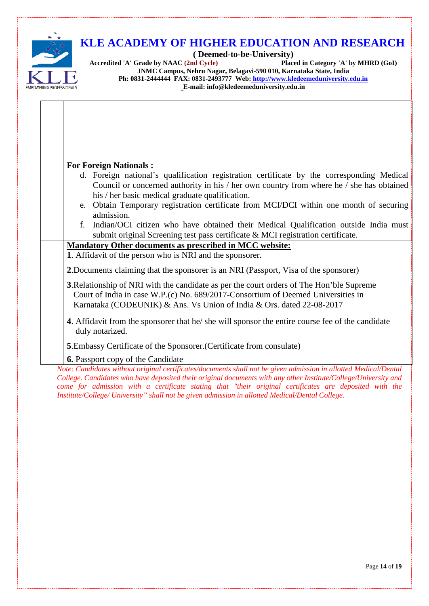

# **KLE ACADEMY OF HIGHER EDUCATION AND RESEARCH**

**( Deemed-to-be-University)** Accredited 'A' Grade by NAAC<sup>(2nd Cycle)</sup> **JNMC Campus, Nehru Nagar, Belagavi-590 010, Karnataka State, India Ph: 0831-2444444 FAX: 0831-2493777 Web: [http://www.kledeemeduniversity.edu.in](http://www.kledeemeduniversity.edu.in/) E-mail: info@kledeemeduniversity.edu.in**

| <b>For Foreign Nationals:</b>                                                                                                                                                                                                                         |  |  |  |
|-------------------------------------------------------------------------------------------------------------------------------------------------------------------------------------------------------------------------------------------------------|--|--|--|
| d. Foreign national's qualification registration certificate by the corresponding Medical<br>Council or concerned authority in his / her own country from where he / she has obtained<br>his / her basic medical graduate qualification.              |  |  |  |
| e. Obtain Temporary registration certificate from MCI/DCI within one month of securing<br>admission.                                                                                                                                                  |  |  |  |
| Indian/OCI citizen who have obtained their Medical Qualification outside India must<br>f.<br>submit original Screening test pass certificate & MCI registration certificate.                                                                          |  |  |  |
| <b>Mandatory Other documents as prescribed in MCC website:</b><br>1. Affidavit of the person who is NRI and the sponsorer.                                                                                                                            |  |  |  |
| 2. Documents claiming that the sponsorer is an NRI (Passport, Visa of the sponsorer)                                                                                                                                                                  |  |  |  |
| 3. Relationship of NRI with the candidate as per the court orders of The Hon'ble Supreme<br>Court of India in case W.P.(c) No. 689/2017-Consortium of Deemed Universities in<br>Karnataka (CODEUNIK) & Ans. Vs Union of India & Ors. dated 22-08-2017 |  |  |  |
| 4. Affidavit from the sponsorer that he/she will sponsor the entire course fee of the candidate<br>duly notarized.                                                                                                                                    |  |  |  |
| 5. Embassy Certificate of the Sponsorer. (Certificate from consulate)                                                                                                                                                                                 |  |  |  |
| 6. Passport copy of the Candidate<br>Note: Candidates without original certificates/documents shall not be given admission in allotted Medical/Dental                                                                                                 |  |  |  |

*Note: Candidates without original certificates/documents shall not be given admission in allotted Medical/Dental College. Candidates who have deposited their original documents with any other Institute/College/University and come for admission with a certificate stating that "their original certificates are deposited with the Institute/College/ University" shall not be given admission in allotted Medical/Dental College.*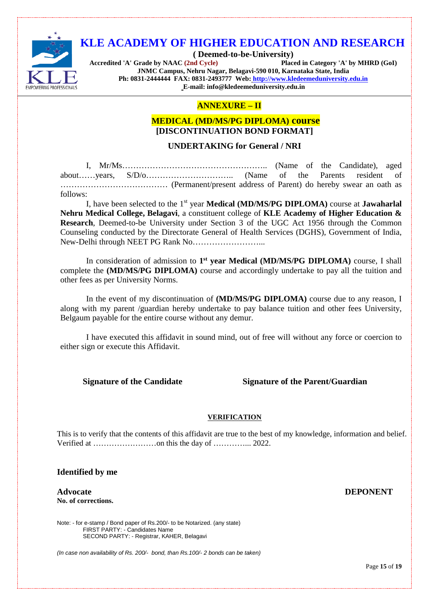

**( Deemed-to-be-University) Accredited 'A' Grade by NAAC (2nd Cycle) JNMC Campus, Nehru Nagar, Belagavi-590 010, Karnataka State, India Ph: 0831-2444444 FAX: 0831-2493777 Web: [http://www.kledeemeduniversity.edu.in](http://www.kledeemeduniversity.edu.in/) E-mail: info@kledeemeduniversity.edu.in**

#### **ANNEXURE – II**

#### **MEDICAL (MD/MS/PG DIPLOMA) course [DISCONTINUATION BOND FORMAT]**

#### **UNDERTAKING for General / NRI**

I, Mr/Ms…………………………………………….. (Name of the Candidate), aged about……years, S/D/o………………………….. (Name of the Parents resident of ………………………………… (Permanent/present address of Parent) do hereby swear an oath as follows:

I, have been selected to the 1st year **Medical (MD/MS/PG DIPLOMA)** course at **Jawaharlal Nehru Medical College, Belagavi**, a constituent college of **KLE Academy of Higher Education & Research**, Deemed-to-be University under Section 3 of the UGC Act 1956 through the Common Counseling conducted by the Directorate General of Health Services (DGHS), Government of India, New-Delhi through NEET PG Rank No……………………...

In consideration of admission to **1st year Medical (MD/MS/PG DIPLOMA)** course, I shall complete the **(MD/MS/PG DIPLOMA)** course and accordingly undertake to pay all the tuition and other fees as per University Norms.

In the event of my discontinuation of **(MD/MS/PG DIPLOMA)** course due to any reason, I along with my parent /guardian hereby undertake to pay balance tuition and other fees University, Belgaum payable for the entire course without any demur.

I have executed this affidavit in sound mind, out of free will without any force or coercion to either sign or execute this Affidavit.

#### **Signature of the Candidate Signature of the Parent/Guardian**

#### **VERIFICATION**

This is to verify that the contents of this affidavit are true to the best of my knowledge, information and belief. Verified at ……………………on this the day of …………... 2022.

#### **Identified by me**

**Advocate No. of corrections.**

Note: - for e-stamp / Bond paper of Rs.200/- to be Notarized. (any state) FIRST PARTY: - Candidates Name SECOND PARTY: - Registrar, KAHER, Belagavi

*(In case non availability of Rs. 200/- bond, than Rs.100/- 2 bonds can be taken)*

#### **DEPONENT**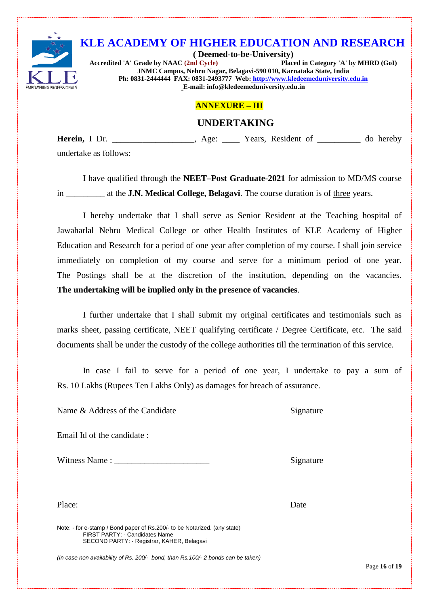

**( Deemed-to-be-University) Accredited 'A' Grade by NAAC (2nd Cycle) Placed in Category 'A' by MHRD (GoI) JNMC Campus, Nehru Nagar, Belagavi-590 010, Karnataka State, India Ph: 0831-2444444 FAX: 0831-2493777 Web: [http://www.kledeemeduniversity.edu.in](http://www.kledeemeduniversity.edu.in/) E-mail: info@kledeemeduniversity.edu.in**

#### **ANNEXURE – III**

## **UNDERTAKING**

**Herein,** I Dr.  $\qquad \qquad$  Age: Years, Resident of  $\qquad \qquad$  do hereby undertake as follows:

I have qualified through the **NEET–Post Graduate-2021** for admission to MD/MS course in \_\_\_\_\_\_\_\_\_ at the **J.N. Medical College, Belagavi**. The course duration is of three years.

I hereby undertake that I shall serve as Senior Resident at the Teaching hospital of Jawaharlal Nehru Medical College or other Health Institutes of KLE Academy of Higher Education and Research for a period of one year after completion of my course. I shall join service immediately on completion of my course and serve for a minimum period of one year. The Postings shall be at the discretion of the institution, depending on the vacancies. **The undertaking will be implied only in the presence of vacancies**.

I further undertake that I shall submit my original certificates and testimonials such as marks sheet, passing certificate, NEET qualifying certificate / Degree Certificate, etc. The said documents shall be under the custody of the college authorities till the termination of this service.

In case I fail to serve for a period of one year, I undertake to pay a sum of Rs. 10 Lakhs (Rupees Ten Lakhs Only) as damages for breach of assurance.

Name & Address of the Candidate Signature

Email Id of the candidate :

Witness Name : \_\_\_\_\_\_\_\_\_\_\_\_\_\_\_\_\_\_\_\_\_\_ Signature

Place: Date

Note: - for e-stamp / Bond paper of Rs.200/- to be Notarized. (any state) FIRST PARTY: - Candidates Name SECOND PARTY: - Registrar, KAHER, Belagavi

*(In case non availability of Rs. 200/- bond, than Rs.100/- 2 bonds can be taken)*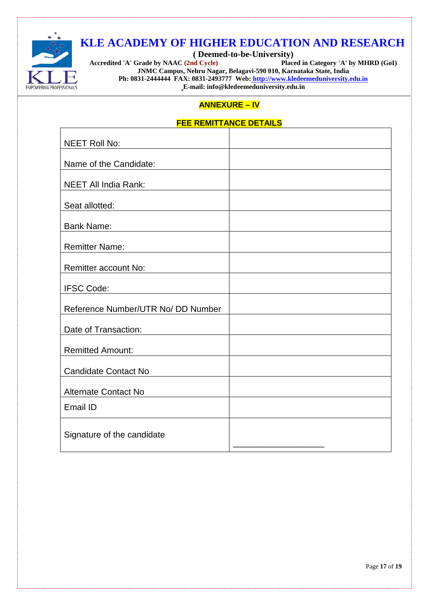

**( Deemed-to-be-University)** Accredited 'A' Grade by NAAC (2nd Cycle) **JNMC Campus, Nehru Nagar, Belagavi-590 010, Karnataka State, India Ph: 0831-2444444 FAX: 0831-2493777 Web: [http://www.kledeemeduniversity.edu.in](http://www.kledeemeduniversity.edu.in/) E-mail: info@kledeemeduniversity.edu.in**

## **ANNEXURE – IV**

#### **FEE REMITTANCE DETAILS**

| <b>NEET Roll No:</b>               |  |
|------------------------------------|--|
| Name of the Candidate:             |  |
| <b>NEET All India Rank:</b>        |  |
| Seat allotted:                     |  |
| <b>Bank Name:</b>                  |  |
| <b>Remitter Name:</b>              |  |
| Remitter account No:               |  |
| <b>IFSC Code:</b>                  |  |
| Reference Number/UTR No/ DD Number |  |
| Date of Transaction:               |  |
| <b>Remitted Amount:</b>            |  |
| <b>Candidate Contact No</b>        |  |
| Alternate Contact No               |  |
| Email ID                           |  |
| Signature of the candidate         |  |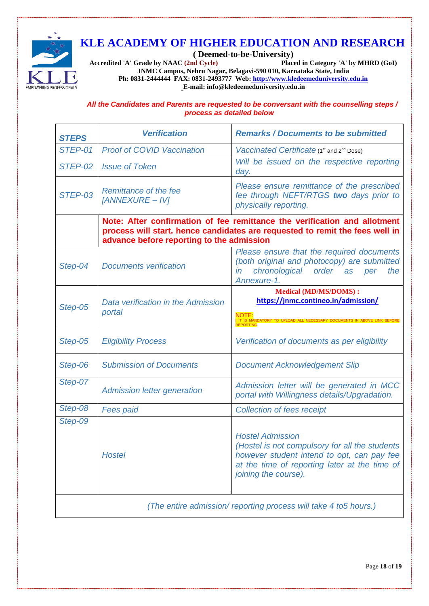

**( Deemed-to-be-University) Accredited 'A' Grade by NAAC (2nd Cycle) JNMC Campus, Nehru Nagar, Belagavi-590 010, Karnataka State, India Ph: 0831-2444444 FAX: 0831-2493777 Web: [http://www.kledeemeduniversity.edu.in](http://www.kledeemeduniversity.edu.in/) E-mail: info@kledeemeduniversity.edu.in**

*All the Candidates and Parents are requested to be conversant with the counselling steps / process as detailed below*

| <b>STEPS</b>                                                     | <b>Verification</b>                                                                                                                                                                                    | <b>Remarks / Documents to be submitted</b>                                                                                                                                                       |  |  |
|------------------------------------------------------------------|--------------------------------------------------------------------------------------------------------------------------------------------------------------------------------------------------------|--------------------------------------------------------------------------------------------------------------------------------------------------------------------------------------------------|--|--|
| STEP-01                                                          | <b>Proof of COVID Vaccination</b>                                                                                                                                                                      | Vaccinated Certificate (1 <sup>st</sup> and 2 <sup>nd</sup> Dose)                                                                                                                                |  |  |
| STEP-02                                                          | <b>Issue of Token</b>                                                                                                                                                                                  | Will be issued on the respective reporting<br>day.                                                                                                                                               |  |  |
| STEP-03                                                          | Remittance of the fee<br>[ANNEXURE - IV]                                                                                                                                                               | Please ensure remittance of the prescribed<br>fee through NEFT/RTGS two days prior to<br>physically reporting.                                                                                   |  |  |
|                                                                  | Note: After confirmation of fee remittance the verification and allotment<br>process will start. hence candidates are requested to remit the fees well in<br>advance before reporting to the admission |                                                                                                                                                                                                  |  |  |
| Step-04                                                          | <b>Documents verification</b>                                                                                                                                                                          | Please ensure that the required documents<br>(both original and photocopy) are submitted<br>chronological order as per<br>the<br>in<br>Annexure-1.                                               |  |  |
| Step-05                                                          | Data verification in the Admission<br>portal                                                                                                                                                           | <b>Medical (MD/MS/DOMS):</b><br>https://jnmc.contineo.in/admission/<br>NOTE<br>UPLOAD ALL NECESSARY DOCUMENTS IN ABOVE LINK                                                                      |  |  |
| Step-05                                                          | <b>Eligibility Process</b>                                                                                                                                                                             | Verification of documents as per eligibility                                                                                                                                                     |  |  |
| Step-06                                                          | <b>Submission of Documents</b>                                                                                                                                                                         | <b>Document Acknowledgement Slip</b>                                                                                                                                                             |  |  |
| Step-07                                                          | <b>Admission letter generation</b>                                                                                                                                                                     | Admission letter will be generated in MCC<br>portal with Willingness details/Upgradation.                                                                                                        |  |  |
| Step-08                                                          | <b>Fees paid</b>                                                                                                                                                                                       | <b>Collection of fees receipt</b>                                                                                                                                                                |  |  |
| Step-09                                                          | <b>Hostel</b>                                                                                                                                                                                          | <b>Hostel Admission</b><br>(Hostel is not compulsory for all the students<br>however student intend to opt, can pay fee<br>at the time of reporting later at the time of<br>joining the course). |  |  |
| (The entire admission/reporting process will take 4 to 5 hours.) |                                                                                                                                                                                                        |                                                                                                                                                                                                  |  |  |